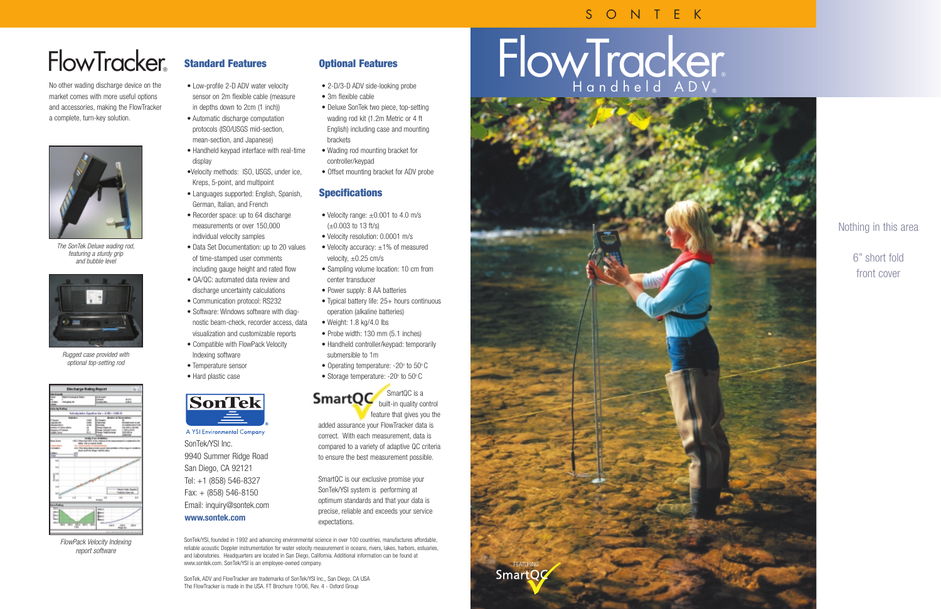### O N T F K

# FlowTracker

No other wading discharge device on the market comes with more useful options and accessories, making the FlowTracker a complete, turn-key solution.



*The SonTek Deluxe wading rod, featuring a sturdy grip and bubble level*



*Rugged case provided with optional top-setting rod*



*FlowPack Velocity Indexing report software* 

### **Standard Features**

- Low-profile 2-D ADV water velocity sensor on 2m flexible cable (measure in depths down to 2cm (1 inch))
- Automatic discharge computation protocols (ISO/USGS mid-section, mean-section, and Japanese)
- Handheld keypad interface with real-time display •Velocity methods: ISO, USGS, under ice,
- Kreps, 5-point, and multipoint • Languages supported: English, Spanish, German, Italian, and French
- Recorder space: up to 64 discharge measurements or over 150,000 individual velocity samples
- Data Set Documentation: up to 20 values of time-stamped user comments including gauge height and rated flow
- QA/QC: automated data review and
- discharge uncertainty calculations • Communication protocol: RS232
- Software: Windows software with diag-
- nostic beam-check, recorder access, data visualization and customizable reports
- Compatible with FlowPack Velocity Indexing software
- Temperature sensor
- Hard plastic case

# **SonTek**

A YSI Environmental Company SonTek/YSI Inc. 9940 Summer Ridge Road San Diego, CA 92121 Tel: +1 (858) 546-8327 Fax: + (858) 546-8150 Email: inquiry@sontek.com **www.sontek.com**

#### **Optional Features**

- 2-D/3-D ADV side-looking probe
- 3m flexible cable
- Deluxe SonTek two piece, top-setting wading rod kit (1.2m Metric or 4 ft English) including case and mounting brackets
- Wading rod mounting bracket for controller/keypad
- Offset mounting bracket for ADV probe

#### **Specifications**

- Velocity range:  $\pm 0.001$  to 4.0 m/s  $(\pm 0.003 \text{ to } 13 \text{ ft/s})$
- Velocity resolution: 0.0001 m/s
- Velocity accuracy: ±1% of measured velocity,  $\pm 0.25$  cm/s
- Sampling volume location: 10 cm from center transducer
- Power supply: 8 AA batteries
- Typical battery life: 25+ hours continuous operation (alkaline batteries)
- Weight:  $1.8 \text{ kg}/4.0 \text{ lbs}$
- Probe width: 130 mm (5.1 inches)
- Handheld controller/keypad: temporarily submersible to 1m
- Operating temperature:  $-20^\circ$  to  $50^\circ$ C
- Storage temperature:  $-20^\circ$  to  $50^\circ$ C



SmartQC is a built-in quality control feature that gives you the added assurance your FlowTracker data is correct. With each measurement, data is compared to a variety of adaptive QC criteria

SmartQC is our exclusive promise your SonTek/YSI system is performing at optimum standards and that your data is precise, reliable and exceeds your service expectations.

to ensure the best measurement possible.

SonTek/YSI, founded in 1992 and advancing environmental science in over 100 countries, manufactures affordable, reliable acoustic Doppler instrumentation for water velocity measurement in oceans, rivers, lakes, harbors, estuaries, and laboratories. Headquarters are located in San Diego, California. Additional information can be found at www.sontek.com. SonTek/YSI is an employee-owned company.

SonTek, ADV and FlowTracker are trademarks of SonTek/YSI Inc., San Diego, CA USA The FlowTracker is made in the USA. FT Brochure 10/06, Rev. 4 - Oxford Group

### FlowTracker Handheld ADV ® ®